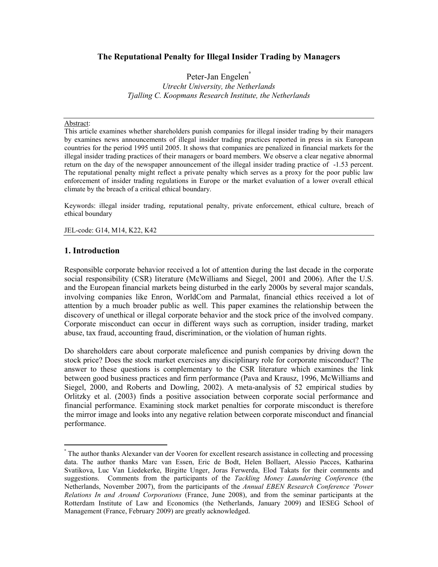# The Reputational Penalty for Illegal Insider Trading by Managers

Peter-Jan Engelen° Utrecht University, the Netherlands Tjalling C. Koopmans Research Institute, the Netherlands

#### Abstract:

This article examines whether shareholders punish companies for illegal insider trading by their managers by examines news announcements of illegal insider trading practices reported in press in six European countries for the period 1995 until 2005. It shows that companies are penalized in financial markets for the illegal insider trading practices of their managers or board members. We observe a clear negative abnormal return on the day of the newspaper announcement of the illegal insider trading practice of -1.53 percent. The reputational penalty might reflect a private penalty which serves as a proxy for the poor public law enforcement of insider trading regulations in Europe or the market evaluation of a lower overall ethical climate by the breach of a critical ethical boundary.

Keywords: illegal insider trading, reputational penalty, private enforcement, ethical culture, breach of ethical boundary

#### JEL-code: G14, M14, K22, K42

# 1. Introduction

 $\overline{a}$ 

Responsible corporate behavior received a lot of attention during the last decade in the corporate social responsibility (CSR) literature (McWilliams and Siegel, 2001 and 2006). After the U.S. and the European financial markets being disturbed in the early 2000s by several major scandals, involving companies like Enron, WorldCom and Parmalat, financial ethics received a lot of attention by a much broader public as well. This paper examines the relationship between the discovery of unethical or illegal corporate behavior and the stock price of the involved company. Corporate misconduct can occur in different ways such as corruption, insider trading, market abuse, tax fraud, accounting fraud, discrimination, or the violation of human rights.

Do shareholders care about corporate maleficence and punish companies by driving down the stock price? Does the stock market exercises any disciplinary role for corporate misconduct? The answer to these questions is complementary to the CSR literature which examines the link between good business practices and firm performance (Pava and Krausz, 1996, McWilliams and Siegel, 2000, and Roberts and Dowling, 2002). A meta-analysis of 52 empirical studies by Orlitzky et al. (2003) finds a positive association between corporate social performance and financial performance. Examining stock market penalties for corporate misconduct is therefore the mirror image and looks into any negative relation between corporate misconduct and financial performance.

<sup>°</sup> The author thanks Alexander van der Vooren for excellent research assistance in collecting and processing data. The author thanks Marc van Essen, Eric de Bodt, Helen Bollaert, Alessio Pacces, Katharina Svatikova, Luc Van Liedekerke, Birgitte Unger, Joras Ferwerda, Elod Takats for their comments and suggestions. Comments from the participants of the Tackling Money Laundering Conference (the Netherlands, November 2007), from the participants of the Annual EBEN Research Conference 'Power Relations In and Around Corporations (France, June 2008), and from the seminar participants at the Rotterdam Institute of Law and Economics (the Netherlands, January 2009) and IESEG School of Management (France, February 2009) are greatly acknowledged.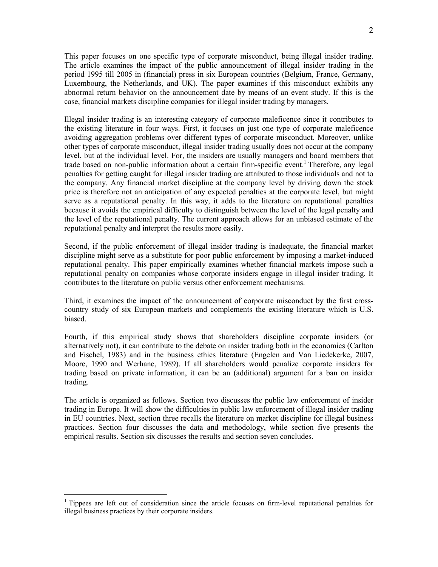This paper focuses on one specific type of corporate misconduct, being illegal insider trading. The article examines the impact of the public announcement of illegal insider trading in the period 1995 till 2005 in (financial) press in six European countries (Belgium, France, Germany, Luxembourg, the Netherlands, and UK). The paper examines if this misconduct exhibits any abnormal return behavior on the announcement date by means of an event study. If this is the case, financial markets discipline companies for illegal insider trading by managers.

Illegal insider trading is an interesting category of corporate maleficence since it contributes to the existing literature in four ways. First, it focuses on just one type of corporate maleficence avoiding aggregation problems over different types of corporate misconduct. Moreover, unlike other types of corporate misconduct, illegal insider trading usually does not occur at the company level, but at the individual level. For, the insiders are usually managers and board members that trade based on non-public information about a certain firm-specific event.<sup>1</sup> Therefore, any legal penalties for getting caught for illegal insider trading are attributed to those individuals and not to the company. Any financial market discipline at the company level by driving down the stock price is therefore not an anticipation of any expected penalties at the corporate level, but might serve as a reputational penalty. In this way, it adds to the literature on reputational penalties because it avoids the empirical difficulty to distinguish between the level of the legal penalty and the level of the reputational penalty. The current approach allows for an unbiased estimate of the reputational penalty and interpret the results more easily.

Second, if the public enforcement of illegal insider trading is inadequate, the financial market discipline might serve as a substitute for poor public enforcement by imposing a market-induced reputational penalty. This paper empirically examines whether financial markets impose such a reputational penalty on companies whose corporate insiders engage in illegal insider trading. It contributes to the literature on public versus other enforcement mechanisms.

Third, it examines the impact of the announcement of corporate misconduct by the first crosscountry study of six European markets and complements the existing literature which is U.S. biased.

Fourth, if this empirical study shows that shareholders discipline corporate insiders (or alternatively not), it can contribute to the debate on insider trading both in the economics (Carlton and Fischel, 1983) and in the business ethics literature (Engelen and Van Liedekerke, 2007, Moore, 1990 and Werhane, 1989). If all shareholders would penalize corporate insiders for trading based on private information, it can be an (additional) argument for a ban on insider trading.

The article is organized as follows. Section two discusses the public law enforcement of insider trading in Europe. It will show the difficulties in public law enforcement of illegal insider trading in EU countries. Next, section three recalls the literature on market discipline for illegal business practices. Section four discusses the data and methodology, while section five presents the empirical results. Section six discusses the results and section seven concludes.

 $\overline{a}$ 

<sup>&</sup>lt;sup>1</sup> Tippees are left out of consideration since the article focuses on firm-level reputational penalties for illegal business practices by their corporate insiders.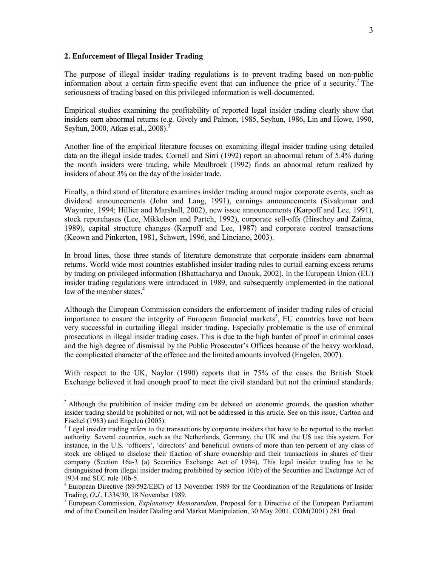## 2. Enforcement of Illegal Insider Trading

The purpose of illegal insider trading regulations is to prevent trading based on non-public information about a certain firm-specific event that can influence the price of a security.<sup>2</sup> The seriousness of trading based on this privileged information is well-documented.

Empirical studies examining the profitability of reported legal insider trading clearly show that insiders earn abnormal returns (e.g. Givoly and Palmon, 1985, Seyhun, 1986, Lin and Howe, 1990, Seyhun, 2000, Atkas et al., 2008).<sup>3</sup>

Another line of the empirical literature focuses on examining illegal insider trading using detailed data on the illegal inside trades. Cornell and Sirri (1992) report an abnormal return of 5.4% during the month insiders were trading, while Meulbroek (1992) finds an abnormal return realized by insiders of about 3% on the day of the insider trade.

Finally, a third stand of literature examines insider trading around major corporate events, such as dividend announcements (John and Lang, 1991), earnings announcements (Sivakumar and Waymire, 1994; Hillier and Marshall, 2002), new issue announcements (Karpoff and Lee, 1991), stock repurchases (Lee, Mikkelson and Partch, 1992), corporate sell-offs (Hirschey and Zaima, 1989), capital structure changes (Karpoff and Lee, 1987) and corporate control transactions (Keown and Pinkerton, 1981, Schwert, 1996, and Linciano, 2003).

In broad lines, those three stands of literature demonstrate that corporate insiders earn abnormal returns. World wide most countries established insider trading rules to curtail earning excess returns by trading on privileged information (Bhattacharya and Daouk, 2002). In the European Union (EU) insider trading regulations were introduced in 1989, and subsequently implemented in the national law of the member states.<sup>4</sup>

Although the European Commission considers the enforcement of insider trading rules of crucial importance to ensure the integrity of European financial markets<sup>5</sup>, EU countries have not been very successful in curtailing illegal insider trading. Especially problematic is the use of criminal prosecutions in illegal insider trading cases. This is due to the high burden of proof in criminal cases and the high degree of dismissal by the Public Prosecutor's Offices because of the heavy workload, the complicated character of the offence and the limited amounts involved (Engelen, 2007).

With respect to the UK, Naylor (1990) reports that in 75% of the cases the British Stock Exchange believed it had enough proof to meet the civil standard but not the criminal standards.

<sup>&</sup>lt;sup>2</sup> Although the prohibition of insider trading can be debated on economic grounds, the question whether insider trading should be prohibited or not, will not be addressed in this article. See on this issue, Carlton and Fischel (1983) and Engelen (2005).

 $3$  Legal insider trading refers to the transactions by corporate insiders that have to be reported to the market authority. Several countries, such as the Netherlands, Germany, the UK and the US use this system. For instance, in the U.S. 'officers', 'directors' and beneficial owners of more than ten percent of any class of stock are obliged to disclose their fraction of share ownership and their transactions in shares of their company (Section 16a-3 (a) Securities Exchange Act of 1934). This legal insider trading has to be distinguished from illegal insider trading prohibited by section 10(b) of the Securities and Exchange Act of 1934 and SEC rule 10b-5.

<sup>&</sup>lt;sup>4</sup> European Directive (89/592/EEC) of 13 November 1989 for the Coordination of the Regulations of Insider Trading, O.J., L334/30, 18 November 1989.

 $<sup>5</sup>$  European Commission, *Explanatory Memorandum*, Proposal for a Directive of the European Parliament</sup> and of the Council on Insider Dealing and Market Manipulation, 30 May 2001, COM(2001) 281 final.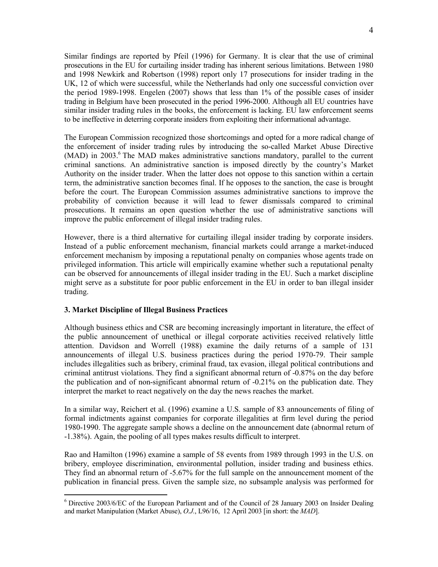Similar findings are reported by Pfeil (1996) for Germany. It is clear that the use of criminal prosecutions in the EU for curtailing insider trading has inherent serious limitations. Between 1980 and 1998 Newkirk and Robertson (1998) report only 17 prosecutions for insider trading in the UK, 12 of which were successful, while the Netherlands had only one successful conviction over the period 1989-1998. Engelen (2007) shows that less than 1% of the possible cases of insider trading in Belgium have been prosecuted in the period 1996-2000. Although all EU countries have similar insider trading rules in the books, the enforcement is lacking. EU law enforcement seems to be ineffective in deterring corporate insiders from exploiting their informational advantage.

The European Commission recognized those shortcomings and opted for a more radical change of the enforcement of insider trading rules by introducing the so-called Market Abuse Directive (MAD) in 2003.<sup>6</sup> The MAD makes administrative sanctions mandatory, parallel to the current criminal sanctions. An administrative sanction is imposed directly by the country's Market Authority on the insider trader. When the latter does not oppose to this sanction within a certain term, the administrative sanction becomes final. If he opposes to the sanction, the case is brought before the court. The European Commission assumes administrative sanctions to improve the probability of conviction because it will lead to fewer dismissals compared to criminal prosecutions. It remains an open question whether the use of administrative sanctions will improve the public enforcement of illegal insider trading rules.

However, there is a third alternative for curtailing illegal insider trading by corporate insiders. Instead of a public enforcement mechanism, financial markets could arrange a market-induced enforcement mechanism by imposing a reputational penalty on companies whose agents trade on privileged information. This article will empirically examine whether such a reputational penalty can be observed for announcements of illegal insider trading in the EU. Such a market discipline might serve as a substitute for poor public enforcement in the EU in order to ban illegal insider trading.

# 3. Market Discipline of Illegal Business Practices

 $\overline{a}$ 

Although business ethics and CSR are becoming increasingly important in literature, the effect of the public announcement of unethical or illegal corporate activities received relatively little attention. Davidson and Worrell (1988) examine the daily returns of a sample of 131 announcements of illegal U.S. business practices during the period 1970-79. Their sample includes illegalities such as bribery, criminal fraud, tax evasion, illegal political contributions and criminal antitrust violations. They find a significant abnormal return of -0.87% on the day before the publication and of non-significant abnormal return of -0.21% on the publication date. They interpret the market to react negatively on the day the news reaches the market.

In a similar way, Reichert et al. (1996) examine a U.S. sample of 83 announcements of filing of formal indictments against companies for corporate illegalities at firm level during the period 1980-1990. The aggregate sample shows a decline on the announcement date (abnormal return of -1.38%). Again, the pooling of all types makes results difficult to interpret.

Rao and Hamilton (1996) examine a sample of 58 events from 1989 through 1993 in the U.S. on bribery, employee discrimination, environmental pollution, insider trading and business ethics. They find an abnormal return of -5.67% for the full sample on the announcement moment of the publication in financial press. Given the sample size, no subsample analysis was performed for

<sup>&</sup>lt;sup>6</sup> Directive 2003/6/EC of the European Parliament and of the Council of 28 January 2003 on Insider Dealing and market Manipulation (Market Abuse), O.J., L96/16, 12 April 2003 [in short: the MAD].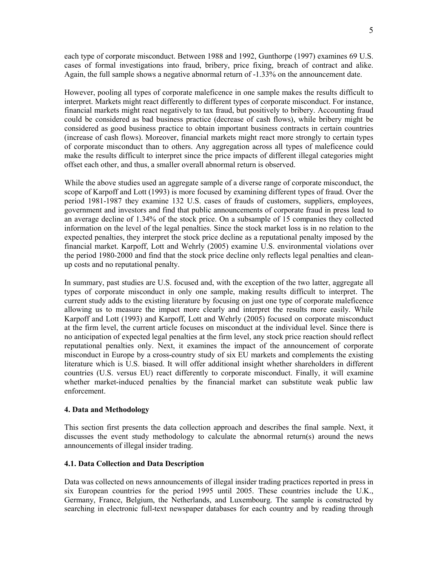each type of corporate misconduct. Between 1988 and 1992, Gunthorpe (1997) examines 69 U.S. cases of formal investigations into fraud, bribery, price fixing, breach of contract and alike. Again, the full sample shows a negative abnormal return of -1.33% on the announcement date.

However, pooling all types of corporate maleficence in one sample makes the results difficult to interpret. Markets might react differently to different types of corporate misconduct. For instance, financial markets might react negatively to tax fraud, but positively to bribery. Accounting fraud could be considered as bad business practice (decrease of cash flows), while bribery might be considered as good business practice to obtain important business contracts in certain countries (increase of cash flows). Moreover, financial markets might react more strongly to certain types of corporate misconduct than to others. Any aggregation across all types of maleficence could make the results difficult to interpret since the price impacts of different illegal categories might offset each other, and thus, a smaller overall abnormal return is observed.

While the above studies used an aggregate sample of a diverse range of corporate misconduct, the scope of Karpoff and Lott (1993) is more focused by examining different types of fraud. Over the period 1981-1987 they examine 132 U.S. cases of frauds of customers, suppliers, employees, government and investors and find that public announcements of corporate fraud in press lead to an average decline of 1.34% of the stock price. On a subsample of 15 companies they collected information on the level of the legal penalties. Since the stock market loss is in no relation to the expected penalties, they interpret the stock price decline as a reputational penalty imposed by the financial market. Karpoff, Lott and Wehrly (2005) examine U.S. environmental violations over the period 1980-2000 and find that the stock price decline only reflects legal penalties and cleanup costs and no reputational penalty.

In summary, past studies are U.S. focused and, with the exception of the two latter, aggregate all types of corporate misconduct in only one sample, making results difficult to interpret. The current study adds to the existing literature by focusing on just one type of corporate maleficence allowing us to measure the impact more clearly and interpret the results more easily. While Karpoff and Lott (1993) and Karpoff, Lott and Wehrly (2005) focused on corporate misconduct at the firm level, the current article focuses on misconduct at the individual level. Since there is no anticipation of expected legal penalties at the firm level, any stock price reaction should reflect reputational penalties only. Next, it examines the impact of the announcement of corporate misconduct in Europe by a cross-country study of six EU markets and complements the existing literature which is U.S. biased. It will offer additional insight whether shareholders in different countries (U.S. versus EU) react differently to corporate misconduct. Finally, it will examine whether market-induced penalties by the financial market can substitute weak public law enforcement.

## 4. Data and Methodology

This section first presents the data collection approach and describes the final sample. Next, it discusses the event study methodology to calculate the abnormal return(s) around the news announcements of illegal insider trading.

# 4.1. Data Collection and Data Description

Data was collected on news announcements of illegal insider trading practices reported in press in six European countries for the period 1995 until 2005. These countries include the U.K., Germany, France, Belgium, the Netherlands, and Luxembourg. The sample is constructed by searching in electronic full-text newspaper databases for each country and by reading through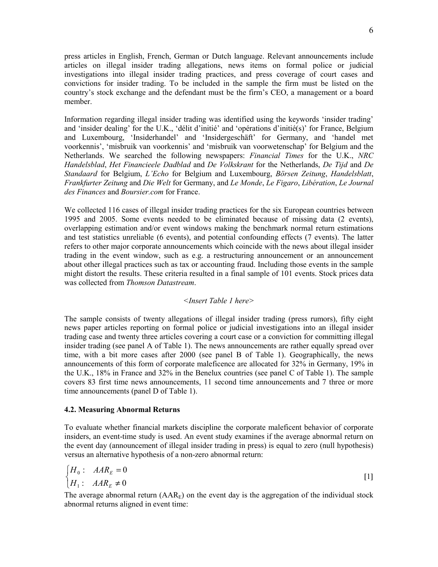press articles in English, French, German or Dutch language. Relevant announcements include articles on illegal insider trading allegations, news items on formal police or judicial investigations into illegal insider trading practices, and press coverage of court cases and convictions for insider trading. To be included in the sample the firm must be listed on the country's stock exchange and the defendant must be the firm's CEO, a management or a board member.

Information regarding illegal insider trading was identified using the keywords 'insider trading' and 'insider dealing' for the U.K., 'délit d'initié' and 'opérations d'initié(s)' for France, Belgium and Luxembourg, 'Insiderhandel' and 'Insidergeschäft' for Germany, and 'handel met voorkennis', 'misbruik van voorkennis' and 'misbruik van voorwetenschap' for Belgium and the Netherlands. We searched the following newspapers: Financial Times for the U.K., NRC Handelsblad, Het Financieele Dadblad and De Volkskrant for the Netherlands, De Tijd and De Standaard for Belgium, L'Echo for Belgium and Luxembourg, Börsen Zeitung, Handelsblatt, Frankfurter Zeitung and Die Welt for Germany, and Le Monde, Le Figaro, Libération, Le Journal des Finances and Boursier.com for France.

We collected 116 cases of illegal insider trading practices for the six European countries between 1995 and 2005. Some events needed to be eliminated because of missing data (2 events), overlapping estimation and/or event windows making the benchmark normal return estimations and test statistics unreliable (6 events), and potential confounding effects (7 events). The latter refers to other major corporate announcements which coincide with the news about illegal insider trading in the event window, such as e.g. a restructuring announcement or an announcement about other illegal practices such as tax or accounting fraud. Including those events in the sample might distort the results. These criteria resulted in a final sample of 101 events. Stock prices data was collected from *Thomson Datastream*.

## <Insert Table 1 here>

The sample consists of twenty allegations of illegal insider trading (press rumors), fifty eight news paper articles reporting on formal police or judicial investigations into an illegal insider trading case and twenty three articles covering a court case or a conviction for committing illegal insider trading (see panel A of Table 1). The news announcements are rather equally spread over time, with a bit more cases after 2000 (see panel B of Table 1). Geographically, the news announcements of this form of corporate maleficence are allocated for 32% in Germany, 19% in the U.K., 18% in France and 32% in the Benelux countries (see panel C of Table 1). The sample covers 83 first time news announcements, 11 second time announcements and 7 three or more time announcements (panel D of Table 1).

## 4.2. Measuring Abnormal Returns

To evaluate whether financial markets discipline the corporate maleficent behavior of corporate insiders, an event-time study is used. An event study examines if the average abnormal return on the event day (announcement of illegal insider trading in press) is equal to zero (null hypothesis) versus an alternative hypothesis of a non-zero abnormal return:

$$
\begin{cases}\nH_0: AAR_E = 0 \\
H_1: AAR_E \neq 0\n\end{cases}
$$
\n[1]

The average abnormal return  $(AAR_E)$  on the event day is the aggregation of the individual stock abnormal returns aligned in event time: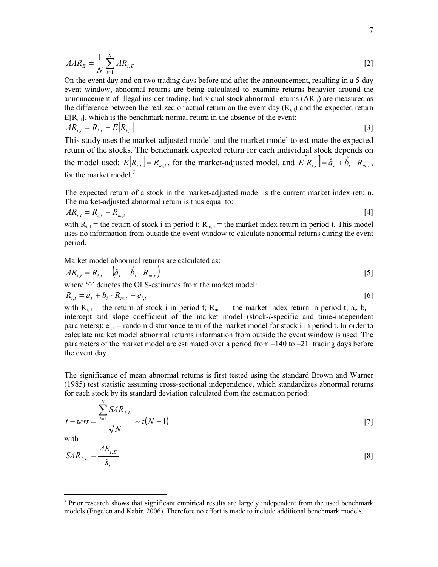$$
AAR_E = \frac{1}{N} \sum_{i=1}^{N} AR_{i,E}
$$

On the event day and on two trading days before and after the announcement, resulting in a 5-day event window, abnormal returns are being calculated to examine returns behavior around the announcement of illegal insider trading. Individual stock abnormal returns  $(AR_{i,t})$  are measured as the difference between the realized or actual return on the event day  $(R_i, t)$  and the expected return  $E[R_{i,t}]$ , which is the benchmark normal return in the absence of the event:

$$
AR_{i,t} = R_{i,t} - E\left[R_{i,t}\right]
$$
\n<sup>(3)</sup>

This study uses the market-adjusted model and the market model to estimate the expected return of the stocks. The benchmark expected return for each individual stock depends on the model used:  $E[R_{i,t}] = R_{m,t}$ , for the market-adjusted model, and  $E[R_{i,t}] = \hat{a}_i + \hat{b}_i \cdot R_{m,t}$ , for the market model.<sup>7</sup>

The expected return of a stock in the market-adjusted model is the current market index return. The market-adjusted abnormal return is thus equal to:

$$
AR_{i,t} = R_{i,t} - R_{m,t} \tag{4}
$$

with  $R_{i, t}$  = the return of stock i in period t;  $R_{m, t}$  = the market index return in period t. This model uses no information from outside the event window to calculate abnormal returns during the event period.

Market model abnormal returns are calculated as:

$$
AR_{i,t} = R_{i,t} - (\hat{a}_i + \hat{b}_i \cdot R_{m,t})
$$
 [5]

where  $\gamma$ <sup>2</sup> denotes the OLS-estimates from the market model:

$$
R_{i,t} = a_i + b_i \cdot R_{m,t} + e_{i,t}
$$
 [6]

with  $R_{i, t}$  = the return of stock i in period t;  $R_{m, t}$  = the market index return in period t;  $a_i, b_i$  = intercept and slope coefficient of the market model (stock-i-specific and time-independent parameters);  $e_{i,t}$  = random disturbance term of the market model for stock i in period t. In order to calculate market model abnormal returns information from outside the event window is used. The parameters of the market model are estimated over a period from  $-140$  to  $-21$  trading days before the event day.

The significance of mean abnormal returns is first tested using the standard Brown and Warner (1985) test statistic assuming cross-sectional independence, which standardizes abnormal returns for each stock by its standard deviation calculated from the estimation period:

$$
t - test = \frac{\sum_{i=1}^{N} SAR_{i,E}}{\sqrt{N}} \sim t(N-1)
$$
\n[7]

with

N

$$
SAR_{i,E} = \frac{AR_{i,E}}{\hat{s}_i} \tag{8}
$$

<sup>&</sup>lt;sup>7</sup> Prior research shows that significant empirical results are largely independent from the used benchmark models (Engelen and Kabir, 2006). Therefore no effort is made to include additional benchmark models.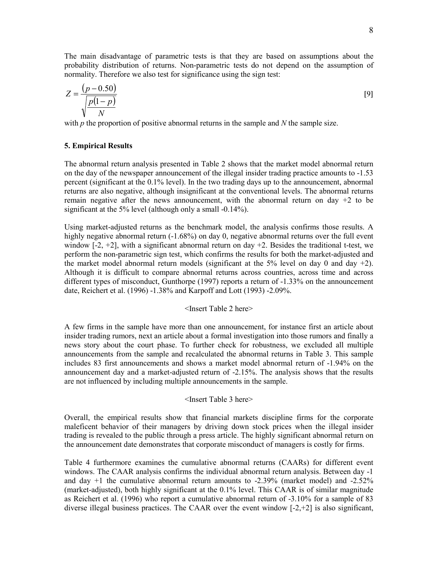The main disadvantage of parametric tests is that they are based on assumptions about the probability distribution of returns. Non-parametric tests do not depend on the assumption of normality. Therefore we also test for significance using the sign test:

$$
Z = \frac{(p - 0.50)}{\sqrt{\frac{p(1 - p)}{N}}}
$$
 [9]

with  $p$  the proportion of positive abnormal returns in the sample and  $N$  the sample size.

## 5. Empirical Results

The abnormal return analysis presented in Table 2 shows that the market model abnormal return on the day of the newspaper announcement of the illegal insider trading practice amounts to -1.53 percent (significant at the 0.1% level). In the two trading days up to the announcement, abnormal returns are also negative, although insignificant at the conventional levels. The abnormal returns remain negative after the news announcement, with the abnormal return on day  $+2$  to be significant at the 5% level (although only a small -0.14%).

Using market-adjusted returns as the benchmark model, the analysis confirms those results. A highly negative abnormal return (-1.68%) on day 0, negative abnormal returns over the full event window  $[-2, +2]$ , with a significant abnormal return on day  $+2$ . Besides the traditional t-test, we perform the non-parametric sign test, which confirms the results for both the market-adjusted and the market model abnormal return models (significant at the  $5\%$  level on day 0 and day  $+2$ ). Although it is difficult to compare abnormal returns across countries, across time and across different types of misconduct, Gunthorpe (1997) reports a return of -1.33% on the announcement date, Reichert et al. (1996) -1.38% and Karpoff and Lott (1993) -2.09%.

### <Insert Table 2 here>

A few firms in the sample have more than one announcement, for instance first an article about insider trading rumors, next an article about a formal investigation into those rumors and finally a news story about the court phase. To further check for robustness, we excluded all multiple announcements from the sample and recalculated the abnormal returns in Table 3. This sample includes 83 first announcements and shows a market model abnormal return of -1.94% on the announcement day and a market-adjusted return of -2.15%. The analysis shows that the results are not influenced by including multiple announcements in the sample.

## <Insert Table 3 here>

Overall, the empirical results show that financial markets discipline firms for the corporate maleficent behavior of their managers by driving down stock prices when the illegal insider trading is revealed to the public through a press article. The highly significant abnormal return on the announcement date demonstrates that corporate misconduct of managers is costly for firms.

Table 4 furthermore examines the cumulative abnormal returns (CAARs) for different event windows. The CAAR analysis confirms the individual abnormal return analysis. Between day -1 and day  $+1$  the cumulative abnormal return amounts to  $-2.39\%$  (market model) and  $-2.52\%$ (market-adjusted), both highly significant at the 0.1% level. This CAAR is of similar magnitude as Reichert et al. (1996) who report a cumulative abnormal return of -3.10% for a sample of 83 diverse illegal business practices. The CAAR over the event window [-2,+2] is also significant,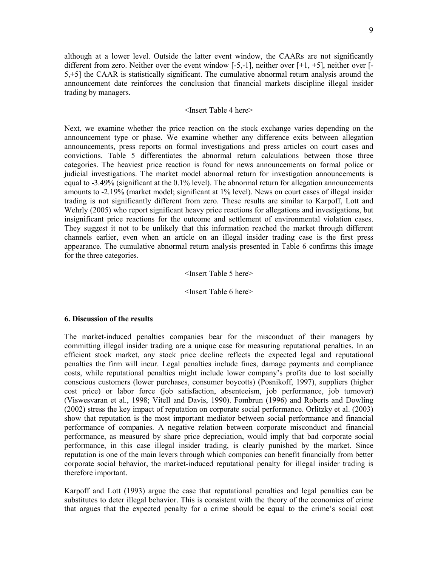although at a lower level. Outside the latter event window, the CAARs are not significantly different from zero. Neither over the event window  $[-5,-1]$ , neither over  $[+]$ ,  $+5]$ , neither over  $[-5, -1]$ 5,+5] the CAAR is statistically significant. The cumulative abnormal return analysis around the announcement date reinforces the conclusion that financial markets discipline illegal insider trading by managers.

## <Insert Table 4 here>

Next, we examine whether the price reaction on the stock exchange varies depending on the announcement type or phase. We examine whether any difference exits between allegation announcements, press reports on formal investigations and press articles on court cases and convictions. Table 5 differentiates the abnormal return calculations between those three categories. The heaviest price reaction is found for news announcements on formal police or judicial investigations. The market model abnormal return for investigation announcements is equal to -3.49% (significant at the 0.1% level). The abnormal return for allegation announcements amounts to -2.19% (market model; significant at 1% level). News on court cases of illegal insider trading is not significantly different from zero. These results are similar to Karpoff, Lott and Wehrly (2005) who report significant heavy price reactions for allegations and investigations, but insignificant price reactions for the outcome and settlement of environmental violation cases. They suggest it not to be unlikely that this information reached the market through different channels earlier, even when an article on an illegal insider trading case is the first press appearance. The cumulative abnormal return analysis presented in Table 6 confirms this image for the three categories.

# <Insert Table 5 here>

## <Insert Table 6 here>

## 6. Discussion of the results

The market-induced penalties companies bear for the misconduct of their managers by committing illegal insider trading are a unique case for measuring reputational penalties. In an efficient stock market, any stock price decline reflects the expected legal and reputational penalties the firm will incur. Legal penalties include fines, damage payments and compliance costs, while reputational penalties might include lower company's profits due to lost socially conscious customers (lower purchases, consumer boycotts) (Posnikoff, 1997), suppliers (higher cost price) or labor force (job satisfaction, absenteeism, job performance, job turnover) (Viswesvaran et al., 1998; Vitell and Davis, 1990). Fombrun (1996) and Roberts and Dowling (2002) stress the key impact of reputation on corporate social performance. Orlitzky et al. (2003) show that reputation is the most important mediator between social performance and financial performance of companies. A negative relation between corporate misconduct and financial performance, as measured by share price depreciation, would imply that bad corporate social performance, in this case illegal insider trading, is clearly punished by the market. Since reputation is one of the main levers through which companies can benefit financially from better corporate social behavior, the market-induced reputational penalty for illegal insider trading is therefore important.

Karpoff and Lott (1993) argue the case that reputational penalties and legal penalties can be substitutes to deter illegal behavior. This is consistent with the theory of the economics of crime that argues that the expected penalty for a crime should be equal to the crime's social cost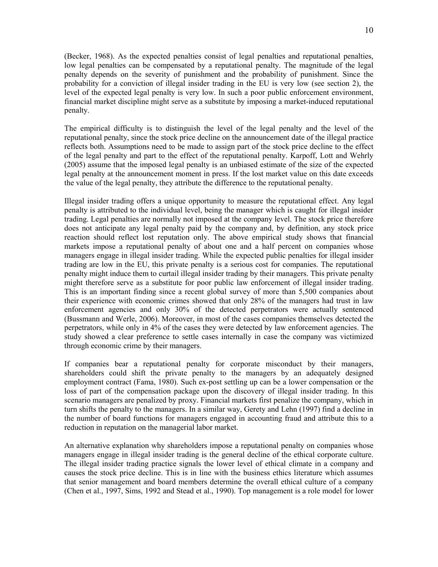(Becker, 1968). As the expected penalties consist of legal penalties and reputational penalties, low legal penalties can be compensated by a reputational penalty. The magnitude of the legal penalty depends on the severity of punishment and the probability of punishment. Since the probability for a conviction of illegal insider trading in the EU is very low (see section 2), the level of the expected legal penalty is very low. In such a poor public enforcement environment, financial market discipline might serve as a substitute by imposing a market-induced reputational penalty.

The empirical difficulty is to distinguish the level of the legal penalty and the level of the reputational penalty, since the stock price decline on the announcement date of the illegal practice reflects both. Assumptions need to be made to assign part of the stock price decline to the effect of the legal penalty and part to the effect of the reputational penalty. Karpoff, Lott and Wehrly (2005) assume that the imposed legal penalty is an unbiased estimate of the size of the expected legal penalty at the announcement moment in press. If the lost market value on this date exceeds the value of the legal penalty, they attribute the difference to the reputational penalty.

Illegal insider trading offers a unique opportunity to measure the reputational effect. Any legal penalty is attributed to the individual level, being the manager which is caught for illegal insider trading. Legal penalties are normally not imposed at the company level. The stock price therefore does not anticipate any legal penalty paid by the company and, by definition, any stock price reaction should reflect lost reputation only. The above empirical study shows that financial markets impose a reputational penalty of about one and a half percent on companies whose managers engage in illegal insider trading. While the expected public penalties for illegal insider trading are low in the EU, this private penalty is a serious cost for companies. The reputational penalty might induce them to curtail illegal insider trading by their managers. This private penalty might therefore serve as a substitute for poor public law enforcement of illegal insider trading. This is an important finding since a recent global survey of more than 5,500 companies about their experience with economic crimes showed that only 28% of the managers had trust in law enforcement agencies and only 30% of the detected perpetrators were actually sentenced (Bussmann and Werle, 2006). Moreover, in most of the cases companies themselves detected the perpetrators, while only in 4% of the cases they were detected by law enforcement agencies. The study showed a clear preference to settle cases internally in case the company was victimized through economic crime by their managers.

If companies bear a reputational penalty for corporate misconduct by their managers, shareholders could shift the private penalty to the managers by an adequately designed employment contract (Fama, 1980). Such ex-post settling up can be a lower compensation or the loss of part of the compensation package upon the discovery of illegal insider trading. In this scenario managers are penalized by proxy. Financial markets first penalize the company, which in turn shifts the penalty to the managers. In a similar way, Gerety and Lehn (1997) find a decline in the number of board functions for managers engaged in accounting fraud and attribute this to a reduction in reputation on the managerial labor market.

An alternative explanation why shareholders impose a reputational penalty on companies whose managers engage in illegal insider trading is the general decline of the ethical corporate culture. The illegal insider trading practice signals the lower level of ethical climate in a company and causes the stock price decline. This is in line with the business ethics literature which assumes that senior management and board members determine the overall ethical culture of a company (Chen et al., 1997, Sims, 1992 and Stead et al., 1990). Top management is a role model for lower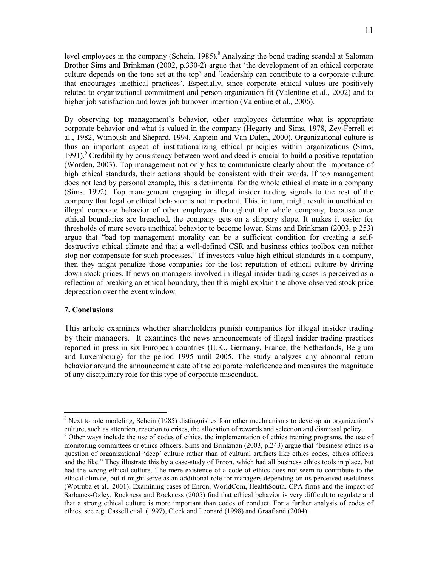level employees in the company (Schein, 1985).<sup>8</sup> Analyzing the bond trading scandal at Salomon Brother Sims and Brinkman (2002, p.330-2) argue that 'the development of an ethical corporate culture depends on the tone set at the top' and 'leadership can contribute to a corporate culture that encourages unethical practices'. Especially, since corporate ethical values are positively related to organizational commitment and person-organization fit (Valentine et al., 2002) and to higher job satisfaction and lower job turnover intention (Valentine et al., 2006).

By observing top management's behavior, other employees determine what is appropriate corporate behavior and what is valued in the company (Hegarty and Sims, 1978, Zey-Ferrell et al., 1982, Wimbush and Shepard, 1994, Kaptein and Van Dalen, 2000). Organizational culture is thus an important aspect of institutionalizing ethical principles within organizations (Sims, 1991).<sup>9</sup> Credibility by consistency between word and deed is crucial to build a positive reputation (Worden, 2003). Top management not only has to communicate clearly about the importance of high ethical standards, their actions should be consistent with their words. If top management does not lead by personal example, this is detrimental for the whole ethical climate in a company (Sims, 1992). Top management engaging in illegal insider trading signals to the rest of the company that legal or ethical behavior is not important. This, in turn, might result in unethical or illegal corporate behavior of other employees throughout the whole company, because once ethical boundaries are breached, the company gets on a slippery slope. It makes it easier for thresholds of more severe unethical behavior to become lower. Sims and Brinkman (2003, p.253) argue that "bad top management morality can be a sufficient condition for creating a selfdestructive ethical climate and that a well-defined CSR and business ethics toolbox can neither stop nor compensate for such processes." If investors value high ethical standards in a company, then they might penalize those companies for the lost reputation of ethical culture by driving down stock prices. If news on managers involved in illegal insider trading cases is perceived as a reflection of breaking an ethical boundary, then this might explain the above observed stock price deprecation over the event window.

## 7. Conclusions

 $\overline{a}$ 

This article examines whether shareholders punish companies for illegal insider trading by their managers. It examines the news announcements of illegal insider trading practices reported in press in six European countries (U.K., Germany, France, the Netherlands, Belgium and Luxembourg) for the period 1995 until 2005. The study analyzes any abnormal return behavior around the announcement date of the corporate maleficence and measures the magnitude of any disciplinary role for this type of corporate misconduct.

<sup>&</sup>lt;sup>8</sup> Next to role modeling, Schein (1985) distinguishes four other mechnanisms to develop an organization's culture, such as attention, reaction to crises, the allocation of rewards and selection and dismissal policy.

<sup>&</sup>lt;sup>9</sup> Other ways include the use of codes of ethics, the implementation of ethics training programs, the use of monitoring committees or ethics officers. Sims and Brinkman (2003, p.243) argue that "business ethics is a question of organizational 'deep' culture rather than of cultural artifacts like ethics codes, ethics officers and the like." They illustrate this by a case-study of Enron, which had all business ethics tools in place, but had the wrong ethical culture. The mere existence of a code of ethics does not seem to contribute to the ethical climate, but it might serve as an additional role for managers depending on its perceived usefulness (Wotruba et al., 2001). Examining cases of Enron, WorldCom, HealthSouth, CPA firms and the impact of Sarbanes-Oxley, Rockness and Rockness (2005) find that ethical behavior is very difficult to regulate and that a strong ethical culture is more important than codes of conduct. For a further analysis of codes of ethics, see e.g. Cassell et al. (1997), Cleek and Leonard (1998) and Graafland (2004).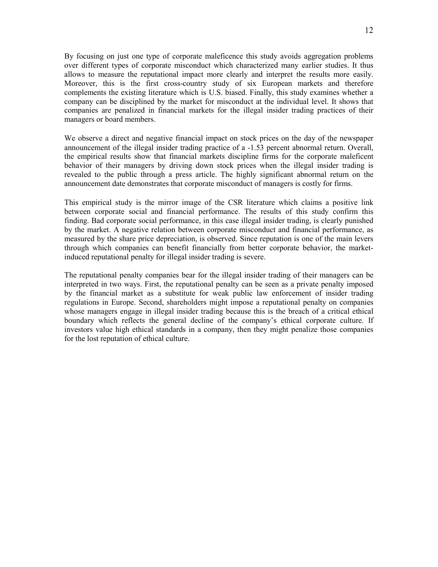By focusing on just one type of corporate maleficence this study avoids aggregation problems over different types of corporate misconduct which characterized many earlier studies. It thus allows to measure the reputational impact more clearly and interpret the results more easily. Moreover, this is the first cross-country study of six European markets and therefore complements the existing literature which is U.S. biased. Finally, this study examines whether a company can be disciplined by the market for misconduct at the individual level. It shows that companies are penalized in financial markets for the illegal insider trading practices of their managers or board members.

We observe a direct and negative financial impact on stock prices on the day of the newspaper announcement of the illegal insider trading practice of a -1.53 percent abnormal return. Overall, the empirical results show that financial markets discipline firms for the corporate maleficent behavior of their managers by driving down stock prices when the illegal insider trading is revealed to the public through a press article. The highly significant abnormal return on the announcement date demonstrates that corporate misconduct of managers is costly for firms.

This empirical study is the mirror image of the CSR literature which claims a positive link between corporate social and financial performance. The results of this study confirm this finding. Bad corporate social performance, in this case illegal insider trading, is clearly punished by the market. A negative relation between corporate misconduct and financial performance, as measured by the share price depreciation, is observed. Since reputation is one of the main levers through which companies can benefit financially from better corporate behavior, the marketinduced reputational penalty for illegal insider trading is severe.

The reputational penalty companies bear for the illegal insider trading of their managers can be interpreted in two ways. First, the reputational penalty can be seen as a private penalty imposed by the financial market as a substitute for weak public law enforcement of insider trading regulations in Europe. Second, shareholders might impose a reputational penalty on companies whose managers engage in illegal insider trading because this is the breach of a critical ethical boundary which reflects the general decline of the company's ethical corporate culture. If investors value high ethical standards in a company, then they might penalize those companies for the lost reputation of ethical culture.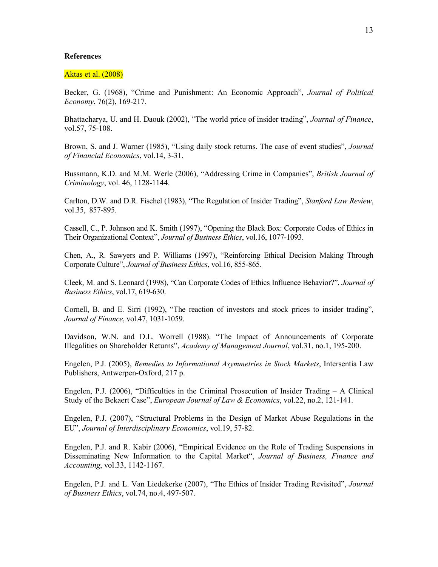#### References

#### Aktas et al. (2008)

Becker, G. (1968), "Crime and Punishment: An Economic Approach", Journal of Political Economy, 76(2), 169-217.

Bhattacharya, U. and H. Daouk (2002), "The world price of insider trading", Journal of Finance, vol.57, 75-108.

Brown, S. and J. Warner (1985), "Using daily stock returns. The case of event studies", *Journal* of Financial Economics, vol.14, 3-31.

Bussmann, K.D. and M.M. Werle (2006), "Addressing Crime in Companies", British Journal of Criminology, vol. 46, 1128-1144.

Carlton, D.W. and D.R. Fischel (1983), "The Regulation of Insider Trading", Stanford Law Review, vol.35, 857-895.

Cassell, C., P. Johnson and K. Smith (1997), "Opening the Black Box: Corporate Codes of Ethics in Their Organizational Context", Journal of Business Ethics, vol.16, 1077-1093.

Chen, A., R. Sawyers and P. Williams (1997), "Reinforcing Ethical Decision Making Through Corporate Culture", Journal of Business Ethics, vol.16, 855-865.

Cleek, M. and S. Leonard (1998), "Can Corporate Codes of Ethics Influence Behavior?", Journal of Business Ethics, vol.17, 619-630.

Cornell, B. and E. Sirri (1992), "The reaction of investors and stock prices to insider trading", Journal of Finance, vol.47, 1031-1059.

Davidson, W.N. and D.L. Worrell (1988). "The Impact of Announcements of Corporate Illegalities on Shareholder Returns", Academy of Management Journal, vol.31, no.1, 195-200.

Engelen, P.J. (2005), Remedies to Informational Asymmetries in Stock Markets, Intersentia Law Publishers, Antwerpen-Oxford, 217 p.

Engelen, P.J. (2006), "Difficulties in the Criminal Prosecution of Insider Trading – A Clinical Study of the Bekaert Case", European Journal of Law & Economics, vol.22, no.2, 121-141.

Engelen, P.J. (2007), "Structural Problems in the Design of Market Abuse Regulations in the EU", Journal of Interdisciplinary Economics, vol.19, 57-82.

Engelen, P.J. and R. Kabir (2006), "Empirical Evidence on the Role of Trading Suspensions in Disseminating New Information to the Capital Market", Journal of Business, Finance and Accounting, vol.33, 1142-1167.

Engelen, P.J. and L. Van Liedekerke (2007), "The Ethics of Insider Trading Revisited", Journal of Business Ethics, vol.74, no.4, 497-507.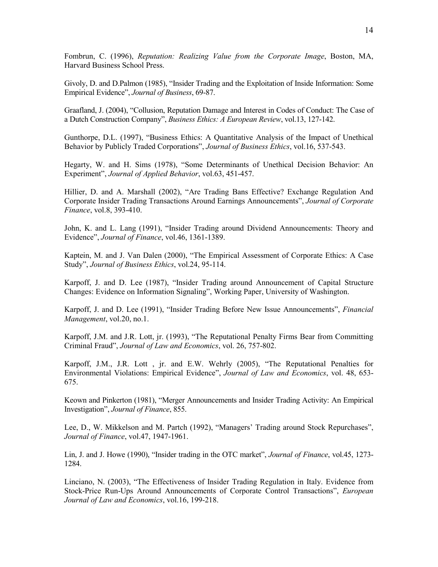Fombrun, C. (1996), Reputation: Realizing Value from the Corporate Image, Boston, MA, Harvard Business School Press.

Givoly, D. and D.Palmon (1985), "Insider Trading and the Exploitation of Inside Information: Some Empirical Evidence", Journal of Business, 69-87.

Graafland, J. (2004), "Collusion, Reputation Damage and Interest in Codes of Conduct: The Case of a Dutch Construction Company", Business Ethics: A European Review, vol.13, 127-142.

Gunthorpe, D.L. (1997), "Business Ethics: A Quantitative Analysis of the Impact of Unethical Behavior by Publicly Traded Corporations", *Journal of Business Ethics*, vol.16, 537-543.

Hegarty, W. and H. Sims (1978), "Some Determinants of Unethical Decision Behavior: An Experiment", Journal of Applied Behavior, vol.63, 451-457.

Hillier, D. and A. Marshall (2002), "Are Trading Bans Effective? Exchange Regulation And Corporate Insider Trading Transactions Around Earnings Announcements", Journal of Corporate Finance, vol.8, 393-410.

John, K. and L. Lang (1991), "Insider Trading around Dividend Announcements: Theory and Evidence", Journal of Finance, vol.46, 1361-1389.

Kaptein, M. and J. Van Dalen (2000), "The Empirical Assessment of Corporate Ethics: A Case Study", Journal of Business Ethics, vol.24, 95-114.

Karpoff, J. and D. Lee (1987), "Insider Trading around Announcement of Capital Structure Changes: Evidence on Information Signaling", Working Paper, University of Washington.

Karpoff, J. and D. Lee (1991), "Insider Trading Before New Issue Announcements", *Financial* Management, vol.20, no.1.

Karpoff, J.M. and J.R. Lott, jr. (1993), "The Reputational Penalty Firms Bear from Committing Criminal Fraud", Journal of Law and Economics, vol. 26, 757-802.

Karpoff, J.M., J.R. Lott , jr. and E.W. Wehrly (2005), "The Reputational Penalties for Environmental Violations: Empirical Evidence", Journal of Law and Economics, vol. 48, 653- 675.

Keown and Pinkerton (1981), "Merger Announcements and Insider Trading Activity: An Empirical Investigation", Journal of Finance, 855.

Lee, D., W. Mikkelson and M. Partch (1992), "Managers' Trading around Stock Repurchases", Journal of Finance, vol.47, 1947-1961.

Lin, J. and J. Howe (1990), "Insider trading in the OTC market", Journal of Finance, vol.45, 1273- 1284.

Linciano, N. (2003), "The Effectiveness of Insider Trading Regulation in Italy. Evidence from Stock-Price Run-Ups Around Announcements of Corporate Control Transactions", European Journal of Law and Economics, vol.16, 199-218.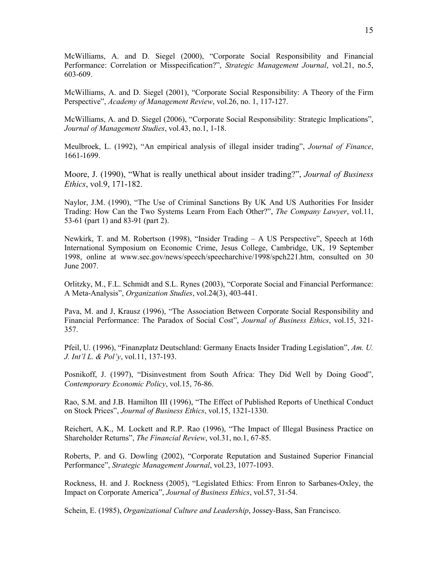McWilliams, A. and D. Siegel (2000), "Corporate Social Responsibility and Financial Performance: Correlation or Misspecification?", Strategic Management Journal, vol.21, no.5, 603-609.

McWilliams, A. and D. Siegel (2001), "Corporate Social Responsibility: A Theory of the Firm Perspective", Academy of Management Review, vol.26, no. 1, 117-127.

McWilliams, A. and D. Siegel (2006), "Corporate Social Responsibility: Strategic Implications", Journal of Management Studies, vol.43, no.1, 1-18.

Meulbroek, L. (1992), "An empirical analysis of illegal insider trading", *Journal of Finance*, 1661-1699.

Moore, J. (1990), "What is really unethical about insider trading?", *Journal of Business* Ethics, vol.9, 171-182.

Naylor, J.M. (1990), "The Use of Criminal Sanctions By UK And US Authorities For Insider Trading: How Can the Two Systems Learn From Each Other?", The Company Lawyer, vol.11, 53-61 (part 1) and 83-91 (part 2).

Newkirk, T. and M. Robertson (1998), "Insider Trading – A US Perspective", Speech at 16th International Symposium on Economic Crime, Jesus College, Cambridge, UK, 19 September 1998, online at www.sec.gov/news/speech/speecharchive/1998/spch221.htm, consulted on 30 June 2007.

Orlitzky, M., F.L. Schmidt and S.L. Rynes (2003), "Corporate Social and Financial Performance: A Meta-Analysis", Organization Studies, vol.24(3), 403-441.

Pava, M. and J, Krausz (1996), "The Association Between Corporate Social Responsibility and Financial Performance: The Paradox of Social Cost", Journal of Business Ethics, vol.15, 321- 357.

Pfeil, U. (1996), "Finanzplatz Deutschland: Germany Enacts Insider Trading Legislation", Am. U. J. Int'l L. & Pol'y, vol.11, 137-193.

Posnikoff, J. (1997), "Disinvestment from South Africa: They Did Well by Doing Good", Contemporary Economic Policy, vol.15, 76-86.

Rao, S.M. and J.B. Hamilton III (1996), "The Effect of Published Reports of Unethical Conduct on Stock Prices", Journal of Business Ethics, vol.15, 1321-1330.

Reichert, A.K., M. Lockett and R.P. Rao (1996), "The Impact of Illegal Business Practice on Shareholder Returns", The Financial Review, vol.31, no.1, 67-85.

Roberts, P. and G. Dowling (2002), "Corporate Reputation and Sustained Superior Financial Performance", Strategic Management Journal, vol.23, 1077-1093.

Rockness, H. and J. Rockness (2005), "Legislated Ethics: From Enron to Sarbanes-Oxley, the Impact on Corporate America", Journal of Business Ethics, vol.57, 31-54.

Schein, E. (1985), Organizational Culture and Leadership, Jossey-Bass, San Francisco.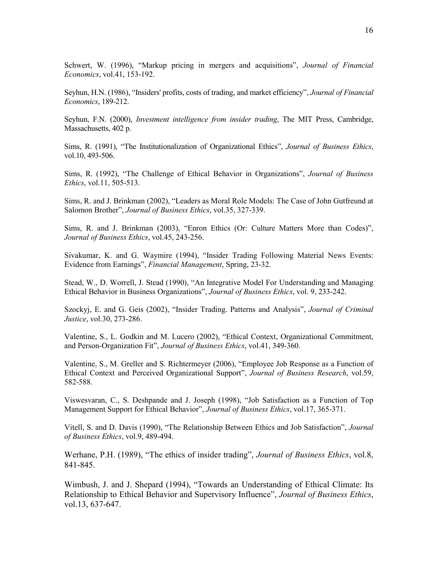Schwert, W. (1996), "Markup pricing in mergers and acquisitions", *Journal of Financial* Economics, vol.41, 153-192.

Seyhun, H.N. (1986), "Insiders' profits, costs of trading, and market efficiency", Journal of Financial Economics, 189-212.

Seyhun, F.N. (2000), *Investment intelligence from insider trading*, The MIT Press, Cambridge, Massachusetts, 402 p.

Sims, R. (1991), "The Institutionalization of Organizational Ethics", Journal of Business Ethics, vol.10, 493-506.

Sims, R. (1992), "The Challenge of Ethical Behavior in Organizations", Journal of Business Ethics, vol.11, 505-513.

Sims, R. and J. Brinkman (2002), "Leaders as Moral Role Models: The Case of John Gutfreund at Salomon Brother", Journal of Business Ethics, vol.35, 327-339.

Sims, R. and J. Brinkman (2003), "Enron Ethics (Or: Culture Matters More than Codes)", Journal of Business Ethics, vol.45, 243-256.

Sivakumar, K. and G. Waymire (1994), "Insider Trading Following Material News Events: Evidence from Earnings", Financial Management, Spring, 23-32.

Stead, W., D. Worrell, J. Stead (1990), "An Integrative Model For Understanding and Managing Ethical Behavior in Business Organizations", Journal of Business Ethics, vol. 9, 233-242.

Szockyj, E. and G. Geis (2002), "Insider Trading. Patterns and Analysis", Journal of Criminal Justice, vol.30, 273-286.

Valentine, S., L. Godkin and M. Lucero (2002), "Ethical Context, Organizational Commitment, and Person-Organization Fit", Journal of Business Ethics, vol.41, 349-360.

Valentine, S., M. Greller and S. Richtermeyer (2006), "Employee Job Response as a Function of Ethical Context and Perceived Organizational Support", Journal of Business Research, vol.59, 582-588.

Viswesvaran, C., S. Deshpande and J. Joseph (1998), "Job Satisfaction as a Function of Top Management Support for Ethical Behavior", Journal of Business Ethics, vol.17, 365-371.

Vitell, S. and D. Davis (1990), "The Relationship Between Ethics and Job Satisfaction", Journal of Business Ethics, vol.9, 489-494.

Werhane, P.H. (1989), "The ethics of insider trading", *Journal of Business Ethics*, vol.8, 841-845.

Wimbush, J. and J. Shepard (1994), "Towards an Understanding of Ethical Climate: Its Relationship to Ethical Behavior and Supervisory Influence", Journal of Business Ethics, vol.13, 637-647.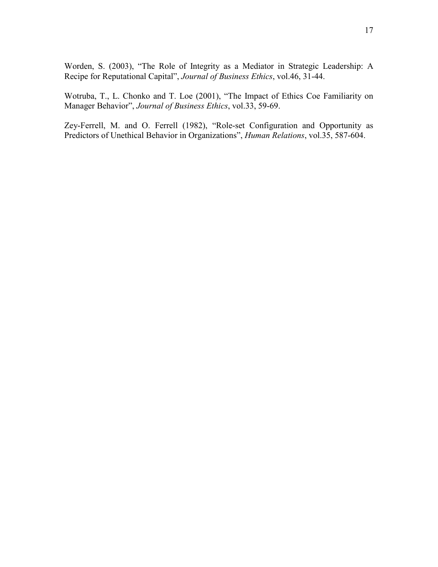Worden, S. (2003), "The Role of Integrity as a Mediator in Strategic Leadership: A Recipe for Reputational Capital", Journal of Business Ethics, vol.46, 31-44.

Wotruba, T., L. Chonko and T. Loe (2001), "The Impact of Ethics Coe Familiarity on Manager Behavior", Journal of Business Ethics, vol.33, 59-69.

Zey-Ferrell, M. and O. Ferrell (1982), "Role-set Configuration and Opportunity as Predictors of Unethical Behavior in Organizations", Human Relations, vol.35, 587-604.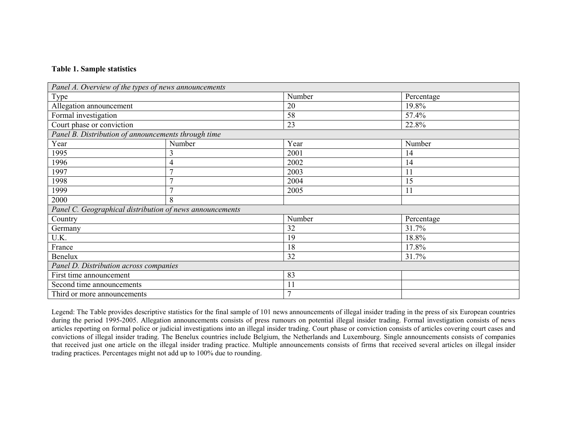# Table 1. Sample statistics

| Panel A. Overview of the types of news announcements     |                |        |            |  |
|----------------------------------------------------------|----------------|--------|------------|--|
| <b>Type</b>                                              |                | Number | Percentage |  |
| Allegation announcement                                  |                | 20     | 19.8%      |  |
| Formal investigation                                     |                | 58     | 57.4%      |  |
| Court phase or conviction                                |                | 23     | 22.8%      |  |
| Panel B. Distribution of announcements through time      |                |        |            |  |
| Year                                                     | Number         | Year   | Number     |  |
| 1995                                                     |                | 2001   | 14         |  |
| 1996                                                     | 4              | 2002   | 14         |  |
| 1997                                                     | $\overline{ }$ | 2003   | 11         |  |
| 1998                                                     | Ξ              | 2004   | 15         |  |
| 1999                                                     |                | 2005   | 11         |  |
| 2000                                                     | 8              |        |            |  |
| Panel C. Geographical distribution of news announcements |                |        |            |  |
| Country                                                  |                | Number | Percentage |  |
| Germany                                                  |                | 32     | 31.7%      |  |
| U.K.                                                     |                | 19     | 18.8%      |  |
| France                                                   |                | 18     | 17.8%      |  |
| Benelux                                                  |                | 32     | 31.7%      |  |
| Panel D. Distribution across companies                   |                |        |            |  |
| First time announcement                                  |                | 83     |            |  |
| Second time announcements                                |                | 11     |            |  |
| Third or more announcements                              |                | 7      |            |  |

Legend: The Table provides descriptive statistics for the final sample of 101 news announcements of illegal insider trading in the press of six European countries during the period 1995-2005. Allegation announcements consists of press rumours on potential illegal insider trading. Formal investigation consists of news articles reporting on formal police or judicial investigations into an illegal insider trading. Court phase or conviction consists of articles covering court cases and convictions of illegal insider trading. The Benelux countries include Belgium, the Netherlands and Luxembourg. Single announcements consists of companies that received just one article on the illegal insider trading practice. Multiple announcements consists of firms that received several articles on illegal insider trading practices. Percentages might not add up to 100% due to rounding.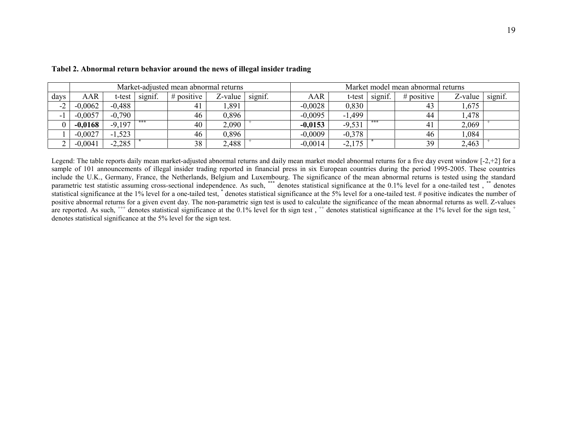|                | Market-adjusted mean abnormal returns |             |         |              |         |         |           | Market model mean abnormal returns |         |              |         |         |  |  |
|----------------|---------------------------------------|-------------|---------|--------------|---------|---------|-----------|------------------------------------|---------|--------------|---------|---------|--|--|
| days           | AAR                                   | t-test      | signif. | $#$ positive | Z-value | signif. | AAR       | t-test                             | signif. | $#$ positive | Z-value | signif. |  |  |
| $\sim$<br>$-L$ | $-0,0062$                             | $-0.488$    |         | 41           | ,891    |         | $-0.0028$ | 0,830                              |         | 43           | 1,675   |         |  |  |
|                | $-0,0057$                             | $-0.790$    |         | 46           | 0,896   |         | $-0.0095$ | $-1,499$                           |         | 44           | .478    |         |  |  |
|                | $-0.0168$                             | $-9,197$    | ***     | 40           | 2,090   |         | $-0.0153$ | $-9,531$                           | ***     | 41           | 2,069   |         |  |  |
|                | $-0.0027$                             | .523<br>- 1 |         | 46           | 0,896   |         | $-0.0009$ | $-0,378$                           |         | 46           | ,084    |         |  |  |
|                | $-0,0041$                             | $-2,285$    |         | 38           | 2,488   |         | $-0,0014$ | $-2,175$                           |         | 39           | 2,463   |         |  |  |

## Tabel 2. Abnormal return behavior around the news of illegal insider trading

Legend: The table reports daily mean market-adjusted abnormal returns and daily mean market model abnormal returns for a five day event window  $[-2, +2]$  for a sample of 101 announcements of illegal insider trading reported in financial press in six European countries during the period 1995-2005. These countries include the U.K., Germany, France, the Netherlands, Belgium and Luxembourg. The significance of the mean abnormal returns is tested using the standard parametric test statistic assuming cross-sectional independence. As suc statistical significance at the 1% level for a one-tailed test, \* denotes statistical significance at the 5% level for a one-tailed test. # positive indicates the number of positive abnormal returns for a given event day. The non-parametric sign test is used to calculate the significance of the mean abnormal returns as well. Z-values are reported. As such,  $^{++}$  denotes statistical significance at the 0.1% level for th sign test,  $^{+}$  denotes statistical significance at the 1% level for the sign test,  $^{+}$ denotes statistical significance at the 5% level for the sign test.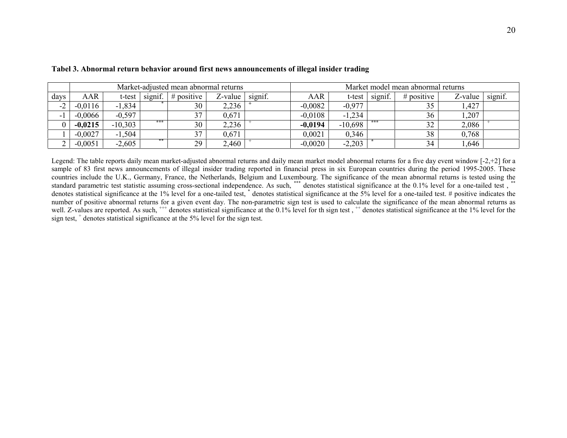|                   | Market-adjusted mean abnormal returns |           |         |              |         |         | Market model mean abnormal returns |           |         |              |         |         |
|-------------------|---------------------------------------|-----------|---------|--------------|---------|---------|------------------------------------|-----------|---------|--------------|---------|---------|
| days              | AAR                                   | t-test    | signif. | $#$ positive | Z-value | signif. | AAR                                | t-test    | signif. | $#$ positive | Z-value | signif. |
| $\bigcap$<br>$-L$ | $-0.0116$                             | $-1,834$  |         | 30           | 2,236   |         | $-0,0082$                          | $-0,977$  |         | υJ           | .427    |         |
|                   | $-0,0066$                             | $-0.597$  |         | 37           | 0,671   |         | $-0.0108$                          | $-1,234$  |         | 36           | ,207    |         |
|                   | $-0.0215$                             | $-10,303$ | ***     | 30           | 2,236   |         | $-0.0194$                          | $-10,698$ | $***$   | 32           | 2,086   |         |
|                   | $-0.0027$                             | $-1,504$  |         | 37           | 0,671   |         | 0,0021                             | 0,346     |         | 38           | 0.768   |         |
|                   | $-0,0051$                             | $-2,605$  | **      | 29           | 2,460   |         | $-0,0020$                          | $-2,203$  |         | 34           | 0.646   |         |

Tabel 3. Abnormal return behavior around first news announcements of illegal insider trading

Legend: The table reports daily mean market-adjusted abnormal returns and daily mean market model abnormal returns for a five day event window  $[-2, +2]$  for a sample of 83 first news announcements of illegal insider trading reported in financial press in six European countries during the period 1995-2005. These countries include the U.K., Germany, France, the Netherlands, Belgium and Luxembourg. The significance of the mean abnormal returns is tested using the standard parametric test statistic assuming cross-sectional independen denotes statistical significance at the 1% level for a one-tailed test, \* denotes statistical significance at the 5% level for a one-tailed test. # positive indicates the number of positive abnormal returns for a given event day. The non-parametric sign test is used to calculate the significance of the mean abnormal returns as well. Z-values are reported. As such, <sup>+++</sup> denotes statistical significance at the 0.1% level for th sign test, <sup>++</sup> denotes statistical significance at the 1% level for the sign test, <sup>+</sup> denotes statistical significance at the 5% level for the sign test.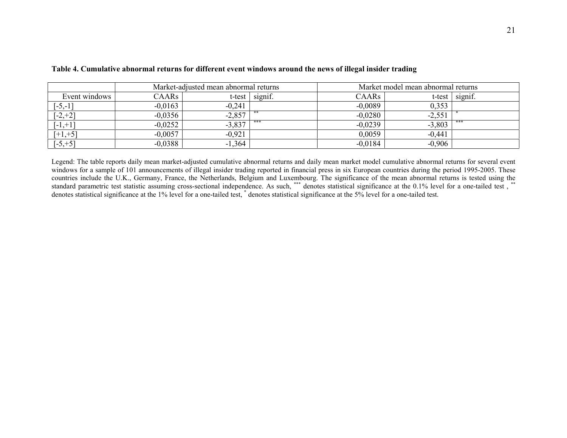|               |              | Market-adjusted mean abnormal returns |         |           | Market model mean abnormal returns |         |  |  |
|---------------|--------------|---------------------------------------|---------|-----------|------------------------------------|---------|--|--|
| Event windows | <b>CAARs</b> | t-test                                | signif. | CAARs     | t-test                             | signif. |  |  |
| $[-5,-1]$     | $-0,0163$    | $-0,241$                              |         | $-0,0089$ | 0,353                              |         |  |  |
| $[-2,+2]$     | $-0,0356$    | $-2,857$                              |         | $-0,0280$ | $-2,551$                           |         |  |  |
| $[-1,+1]$     | $-0.0252$    | $-3,837$                              | ***     | $-0.0239$ | $-3,803$                           | ***     |  |  |
| $[+1,+5]$     | $-0.0057$    | $-0,921$                              |         | 0,0059    | $-0,441$                           |         |  |  |
| $[-5, +5]$    | $-0,0388$    | $-1,364$                              |         | $-0,0184$ | $-0,906$                           |         |  |  |

## Table 4. Cumulative abnormal returns for different event windows around the news of illegal insider trading

Legend: The table reports daily mean market-adjusted cumulative abnormal returns and daily mean market model cumulative abnormal returns for several event windows for a sample of 101 announcements of illegal insider trading reported in financial press in six European countries during the period 1995-2005. These countries include the U.K., Germany, France, the Netherlands, Belgium and Luxembourg. The significance of the mean abnormal returns is tested using the standard parametric test statistic assuming cross-sectional independen denotes statistical significance at the 1% level for a one-tailed test, \* denotes statistical significance at the 5% level for a one-tailed test.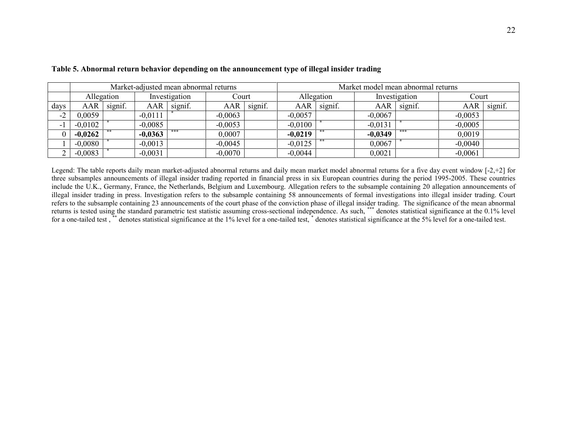|                | Market-adjusted mean abnormal returns |            |               |         |           |         | Market model mean abnormal returns |         |               |         |           |         |  |
|----------------|---------------------------------------|------------|---------------|---------|-----------|---------|------------------------------------|---------|---------------|---------|-----------|---------|--|
|                |                                       | Allegation | Investigation |         | Court     |         | Allegation                         |         | Investigation |         | Court     |         |  |
| days           | AAR                                   | signif.    | AAR           | signif. | AAR       | signif. | AAR                                | signif. | AAR           | signif. | AAR       | signif. |  |
| $\sim$<br>$-L$ | 0,0059                                |            | $-0,0111$     |         | $-0,0063$ |         | $-0,0057$                          |         | $-0.0067$     |         | $-0,0053$ |         |  |
|                | $-0,0102$                             |            | $-0,0085$     |         | $-0,0053$ |         | $-0,0100$                          |         | $-0,0131$     |         | $-0,0005$ |         |  |
|                | $-0,0262$                             |            | $-0,0363$     | ***     | 0,0007    |         | $-0,0219$                          |         | $-0,0349$     |         | 0,0019    |         |  |
|                | $-0,0080$                             |            | $-0,0013$     |         | $-0,0045$ |         | $-0,0125$                          |         | 0,0067        |         | $-0,0040$ |         |  |
|                | $-0,0083$                             |            | $-0,0031$     |         | $-0,0070$ |         | $-0,0044$                          |         | 0,0021        |         | $-0,0061$ |         |  |

Table 5. Abnormal return behavior depending on the announcement type of illegal insider trading

Legend: The table reports daily mean market-adjusted abnormal returns and daily mean market model abnormal returns for a five day event window [-2,+2] for three subsamples announcements of illegal insider trading reported in financial press in six European countries during the period 1995-2005. These countries include the U.K., Germany, France, the Netherlands, Belgium and Luxembourg. Allegation refers to the subsample containing 20 allegation announcements of illegal insider trading in press. Investigation refers to the subsample containing 58 announcements of formal investigations into illegal insider trading. Court refers to the subsample containing 23 announcements of the court phase of the conviction phase of illegal insider trading. The significance of the mean abnormal returns is tested using the standard parametric test statistic assuming cross-sectional independence. As such, \*\*\* denotes statistical significance at the 0.1% level<br>for a one-tailed test, \*\* denotes statistical significan